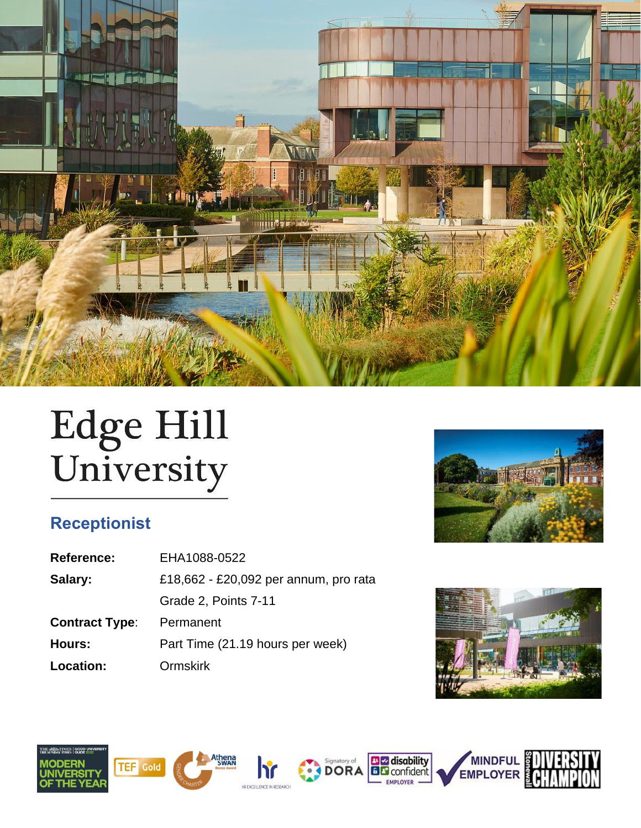

# Edge Hill<br>University

# **Receptionist**

| Reference:            | EHA1088-0522                          |
|-----------------------|---------------------------------------|
| Salary:               | £18,662 - £20,092 per annum, pro rata |
|                       | Grade 2, Points 7-11                  |
| <b>Contract Type:</b> | Permanent                             |
| Hours:                | Part Time (21.19 hours per week)      |
| Location:             | Ormskirk                              |















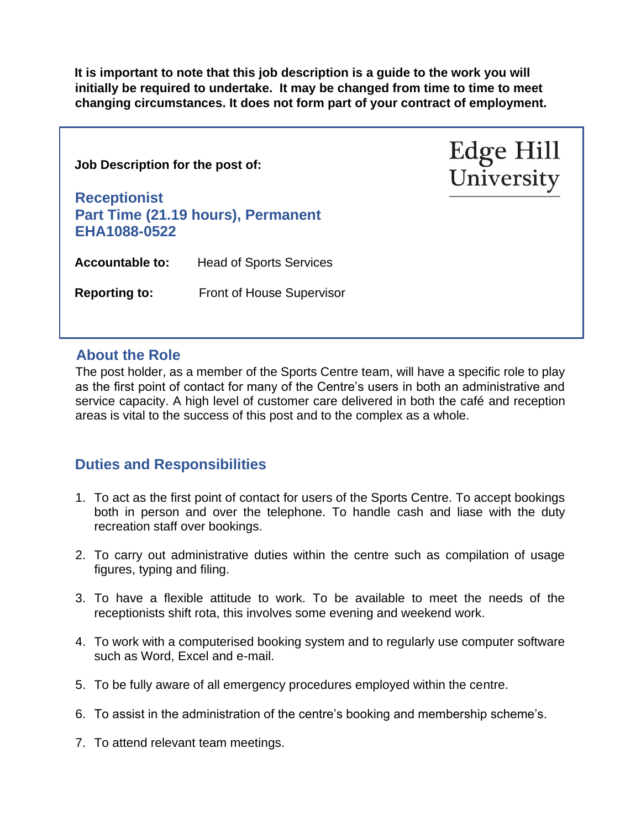**It is important to note that this job description is a guide to the work you will initially be required to undertake. It may be changed from time to time to meet changing circumstances. It does not form part of your contract of employment.** 

| Job Description for the post of:    |                                    | Edge Hill<br>University |  |  |
|-------------------------------------|------------------------------------|-------------------------|--|--|
| <b>Receptionist</b><br>EHA1088-0522 | Part Time (21.19 hours), Permanent |                         |  |  |
|                                     | <b>Head of Sports Services</b>     |                         |  |  |
| <b>Accountable to:</b>              |                                    |                         |  |  |

# **About the Role**

The post holder, as a member of the Sports Centre team, will have a specific role to play as the first point of contact for many of the Centre's users in both an administrative and service capacity. A high level of customer care delivered in both the café and reception areas is vital to the success of this post and to the complex as a whole.

# **Duties and Responsibilities**

- 1. To act as the first point of contact for users of the Sports Centre. To accept bookings both in person and over the telephone. To handle cash and liase with the duty recreation staff over bookings.
- 2. To carry out administrative duties within the centre such as compilation of usage figures, typing and filing.
- 3. To have a flexible attitude to work. To be available to meet the needs of the receptionists shift rota, this involves some evening and weekend work.
- 4. To work with a computerised booking system and to regularly use computer software such as Word, Excel and e-mail.
- 5. To be fully aware of all emergency procedures employed within the centre.
- 6. To assist in the administration of the centre's booking and membership scheme's.
- 7. To attend relevant team meetings.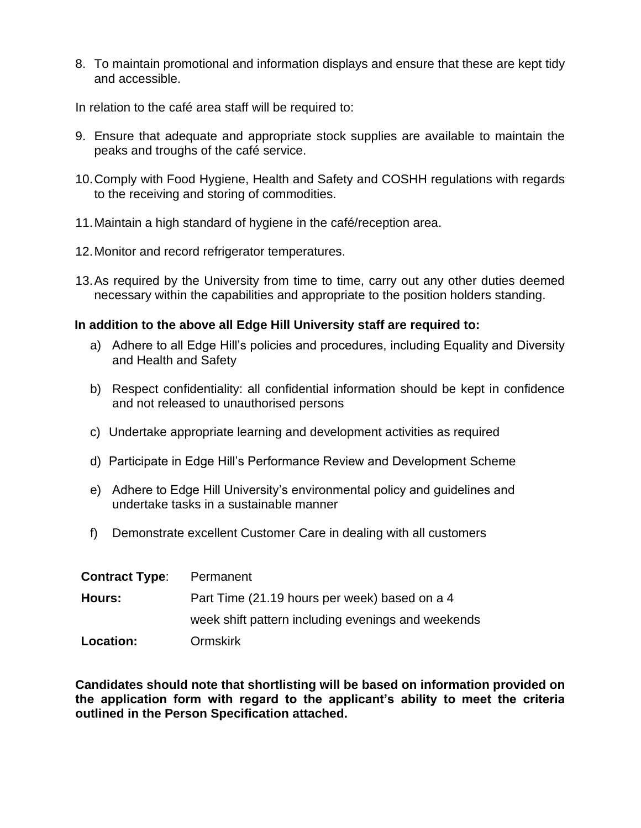8. To maintain promotional and information displays and ensure that these are kept tidy and accessible.

In relation to the café area staff will be required to:

- 9. Ensure that adequate and appropriate stock supplies are available to maintain the peaks and troughs of the café service.
- 10.Comply with Food Hygiene, Health and Safety and COSHH regulations with regards to the receiving and storing of commodities.
- 11.Maintain a high standard of hygiene in the café/reception area.
- 12.Monitor and record refrigerator temperatures.
- 13.As required by the University from time to time, carry out any other duties deemed necessary within the capabilities and appropriate to the position holders standing.

### **In addition to the above all Edge Hill University staff are required to:**

- a) Adhere to all Edge Hill's policies and procedures, including Equality and Diversity and Health and Safety
- b) Respect confidentiality: all confidential information should be kept in confidence and not released to unauthorised persons
- c) Undertake appropriate learning and development activities as required
- d) Participate in Edge Hill's Performance Review and Development Scheme
- e) Adhere to Edge Hill University's environmental policy and guidelines and undertake tasks in a sustainable manner
- f) Demonstrate excellent Customer Care in dealing with all customers

| <b>Contract Type:</b> | Permanent                                          |
|-----------------------|----------------------------------------------------|
| Hours:                | Part Time (21.19 hours per week) based on a 4      |
|                       | week shift pattern including evenings and weekends |
| Location:             | <b>Ormskirk</b>                                    |

**Candidates should note that shortlisting will be based on information provided on the application form with regard to the applicant's ability to meet the criteria outlined in the Person Specification attached.**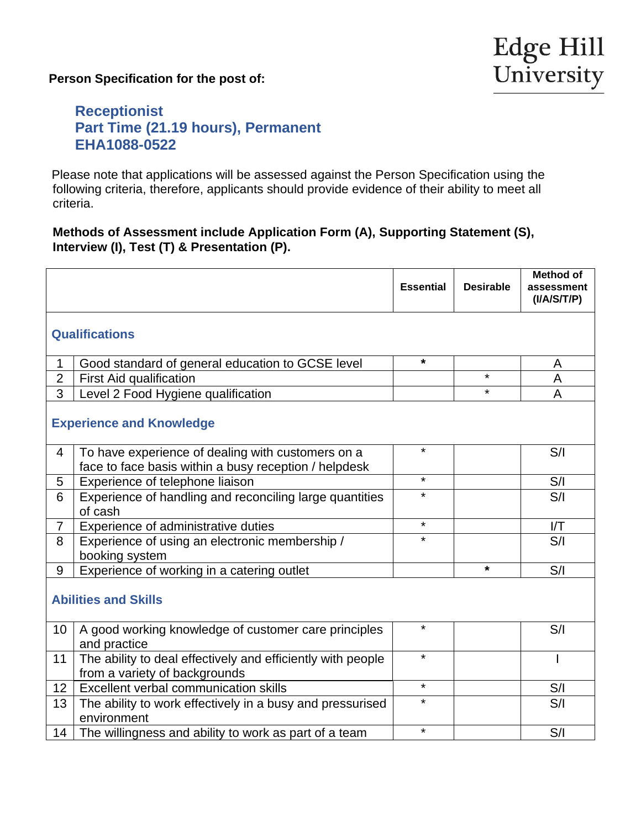### **Person Specification for the post of:**



# **Receptionist Part Time (21.19 hours), Permanent EHA1088-0522**

 Please note that applications will be assessed against the Person Specification using the following criteria, therefore, applicants should provide evidence of their ability to meet all criteria.

### **Methods of Assessment include Application Form (A), Supporting Statement (S), Interview (I), Test (T) & Presentation (P).**

|                                 |                                                                                                            | <b>Essential</b> | <b>Desirable</b> | <b>Method of</b><br>assessment<br>(IVA/ST/IP) |  |
|---------------------------------|------------------------------------------------------------------------------------------------------------|------------------|------------------|-----------------------------------------------|--|
| <b>Qualifications</b>           |                                                                                                            |                  |                  |                                               |  |
| 1                               | Good standard of general education to GCSE level                                                           | $\star$          |                  | A                                             |  |
| $\overline{2}$                  | <b>First Aid qualification</b>                                                                             |                  | $\star$          | A                                             |  |
| 3                               | Level 2 Food Hygiene qualification                                                                         |                  | $\star$          | A                                             |  |
| <b>Experience and Knowledge</b> |                                                                                                            |                  |                  |                                               |  |
| 4                               | To have experience of dealing with customers on a<br>face to face basis within a busy reception / helpdesk | $\star$          |                  | S/I                                           |  |
| 5                               | Experience of telephone liaison                                                                            | $\star$          |                  | S/I                                           |  |
| 6                               | Experience of handling and reconciling large quantities<br>of cash                                         | $\star$          |                  | S/I                                           |  |
| $\overline{7}$                  | Experience of administrative duties                                                                        | $\star$          |                  | I/T                                           |  |
| 8                               | Experience of using an electronic membership /<br>booking system                                           | $\star$          |                  | S/I                                           |  |
| 9                               | Experience of working in a catering outlet                                                                 |                  | $\star$          | S/I                                           |  |
| <b>Abilities and Skills</b>     |                                                                                                            |                  |                  |                                               |  |
| 10                              | A good working knowledge of customer care principles<br>and practice                                       | $\star$          |                  | S/I                                           |  |
| 11                              | The ability to deal effectively and efficiently with people<br>from a variety of backgrounds               | $\star$          |                  |                                               |  |
| 12                              | Excellent verbal communication skills                                                                      | $\star$          |                  | S/I                                           |  |
| 13                              | The ability to work effectively in a busy and pressurised<br>environment                                   | $\star$          |                  | S/I                                           |  |
| 14                              | The willingness and ability to work as part of a team                                                      | $\star$          |                  | S/I                                           |  |